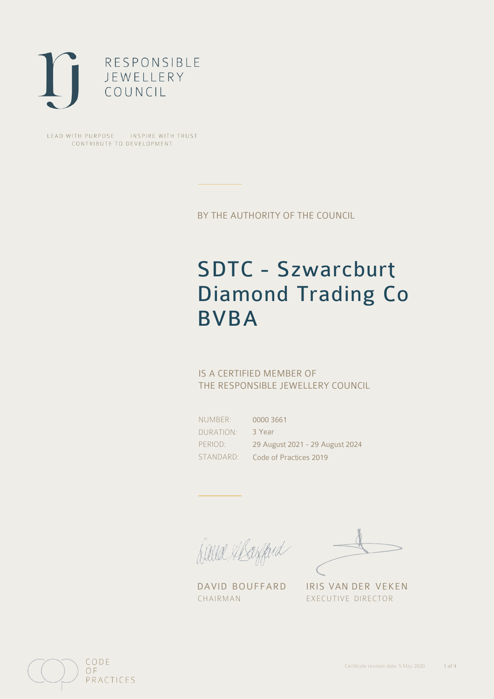

LEAD WITH PURPOSE . INSPIRE WITH TRUST CONTRIBUTE TO DEVELOPMENT

BY THE AUTHORITY OF THE COUNCIL

# SDTC - Szwarcburt Diamond Trading Co BVBA

## IS A CERTIFIED MEMBER OF THE RESPONSIBLE JEWELLERY COUNCIL

NUMBER: DURATION: PERIOD: STANDARD:

0000 3661 3 Year 29 August 2021 - 29 August 2024 Code of Practices 2019

filled flaggerd

CHAIRMAN EXECUTIVE DIRECTOR

DAVID BOUFFARD IRIS VAN DER VEKEN

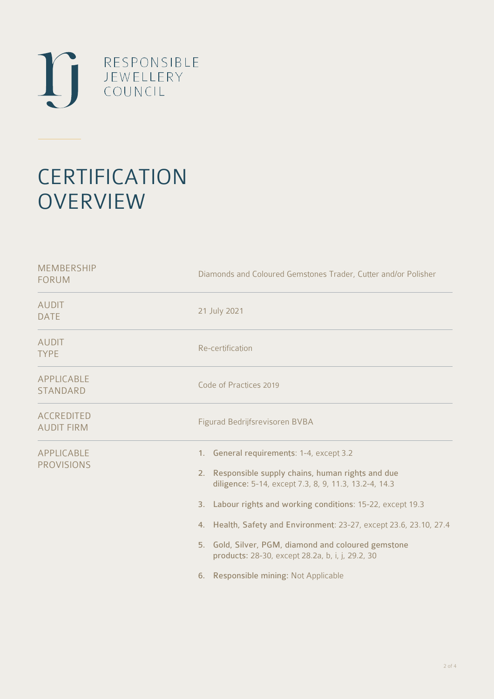

# **CERTIFICATION OVERVIEW**

| <b>MEMBERSHIP</b><br><b>FORUM</b>      | Diamonds and Coloured Gemstones Trader, Cutter and/or Polisher                                                                                                                                                                                                                                                                                                                                                                                   |
|----------------------------------------|--------------------------------------------------------------------------------------------------------------------------------------------------------------------------------------------------------------------------------------------------------------------------------------------------------------------------------------------------------------------------------------------------------------------------------------------------|
| <b>AUDIT</b><br><b>DATE</b>            | 21 July 2021                                                                                                                                                                                                                                                                                                                                                                                                                                     |
| <b>AUDIT</b><br><b>TYPE</b>            | Re-certification                                                                                                                                                                                                                                                                                                                                                                                                                                 |
| APPLICABLE<br><b>STANDARD</b>          | Code of Practices 2019                                                                                                                                                                                                                                                                                                                                                                                                                           |
| <b>ACCREDITED</b><br><b>AUDIT FIRM</b> | Figurad Bedrijfsrevisoren BVBA                                                                                                                                                                                                                                                                                                                                                                                                                   |
| APPLICABLE<br><b>PROVISIONS</b>        | 1. General requirements: 1-4, except 3.2<br>2. Responsible supply chains, human rights and due<br>diligence: 5-14, except 7.3, 8, 9, 11.3, 13.2-4, 14.3<br>3. Labour rights and working conditions: 15-22, except 19.3<br>4. Health, Safety and Environment: 23-27, except 23.6, 23.10, 27.4<br>5. Gold, Silver, PGM, diamond and coloured gemstone<br>products: 28-30, except 28.2a, b, i, j, 29.2, 30<br>6. Responsible mining: Not Applicable |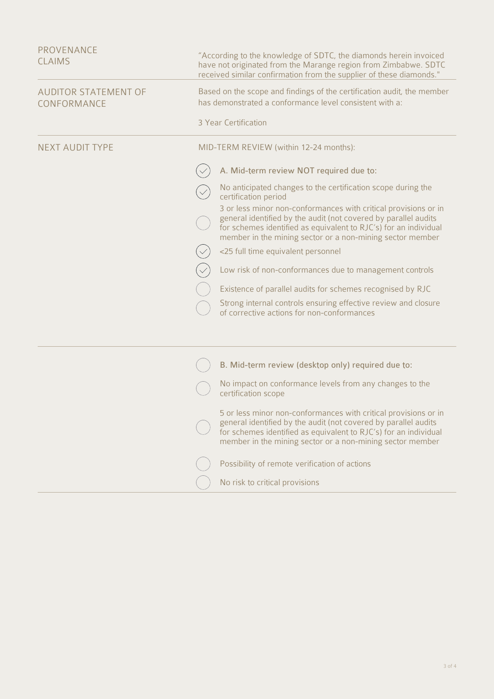| PROVENANCE<br><b>CLAIMS</b>         | "According to the knowledge of SDTC, the diamonds herein invoiced<br>have not originated from the Marange region from Zimbabwe. SDTC<br>received similar confirmation from the supplier of these diamonds."                                                         |
|-------------------------------------|---------------------------------------------------------------------------------------------------------------------------------------------------------------------------------------------------------------------------------------------------------------------|
| AUDITOR STATEMENT OF<br>CONFORMANCE | Based on the scope and findings of the certification audit, the member<br>has demonstrated a conformance level consistent with a:                                                                                                                                   |
|                                     | 3 Year Certification                                                                                                                                                                                                                                                |
| <b>NEXT AUDIT TYPE</b>              | MID-TERM REVIEW (within 12-24 months):                                                                                                                                                                                                                              |
|                                     | A. Mid-term review NOT required due to:                                                                                                                                                                                                                             |
|                                     | No anticipated changes to the certification scope during the<br>certification period                                                                                                                                                                                |
|                                     | 3 or less minor non-conformances with critical provisions or in<br>general identified by the audit (not covered by parallel audits<br>for schemes identified as equivalent to RJC's) for an individual<br>member in the mining sector or a non-mining sector member |
|                                     | <25 full time equivalent personnel                                                                                                                                                                                                                                  |
|                                     | Low risk of non-conformances due to management controls                                                                                                                                                                                                             |
|                                     | Existence of parallel audits for schemes recognised by RJC                                                                                                                                                                                                          |
|                                     | Strong internal controls ensuring effective review and closure<br>of corrective actions for non-conformances                                                                                                                                                        |
|                                     |                                                                                                                                                                                                                                                                     |
|                                     | B. Mid-term review (desktop only) required due to:                                                                                                                                                                                                                  |
|                                     | No impact on conformance levels from any changes to the<br>certification scope                                                                                                                                                                                      |
|                                     | 5 or less minor non-conformances with critical provisions or in<br>general identified by the audit (not covered by parallel audits<br>for schemes identified as equivalent to RJC's) for an individual<br>member in the mining sector or a non-mining sector member |
|                                     | Possibility of remote verification of actions                                                                                                                                                                                                                       |
|                                     | No risk to critical provisions                                                                                                                                                                                                                                      |